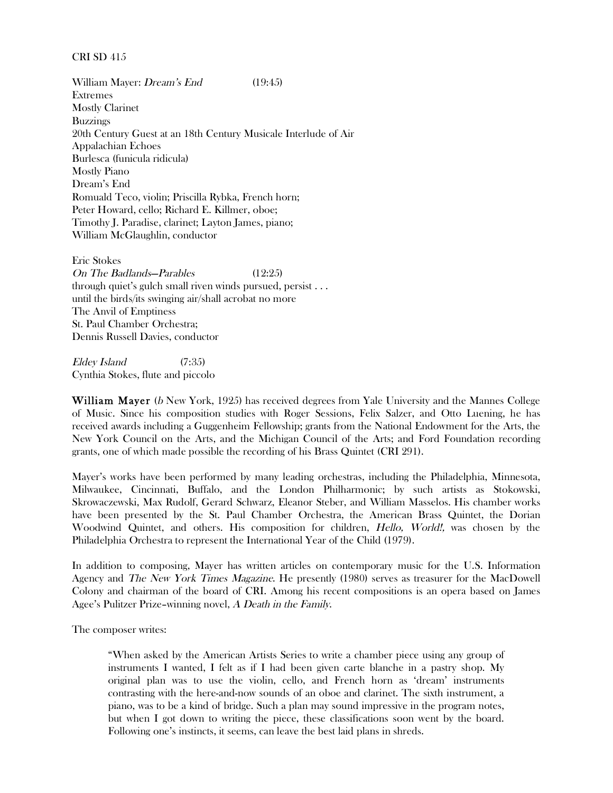## CRI SD 415

William Mayer: *Dream's End* (19:45) Extremes Mostly Clarinet Buzzings 20th Century Guest at an 18th Century Musicale Interlude of Air Appalachian Echoes Burlesca (funicula ridicula) Mostly Piano Dream's End Romuald Teco, violin; Priscilla Rybka, French horn; Peter Howard, cello; Richard E. Killmer, oboe; Timothy J. Paradise, clarinet; Layton James, piano; William McGlaughlin, conductor

Eric Stokes On The Badlands—Parables (12:25) through quiet's gulch small riven winds pursued, persist . . . until the birds/its swinging air/shall acrobat no more The Anvil of Emptiness St. Paul Chamber Orchestra; Dennis Russell Davies, conductor

Eldey Island (7:35) Cynthia Stokes, flute and piccolo

William Mayer (b New York, 1925) has received degrees from Yale University and the Mannes College of Music. Since his composition studies with Roger Sessions, Felix Salzer, and Otto Luening, he has received awards including a Guggenheim Fellowship; grants from the National Endowment for the Arts, the New York Council on the Arts, and the Michigan Council of the Arts; and Ford Foundation recording grants, one of which made possible the recording of his Brass Quintet (CRI 291).

Mayer's works have been performed by many leading orchestras, including the Philadelphia, Minnesota, Milwaukee, Cincinnati, Buffalo, and the London Philharmonic; by such artists as Stokowski, Skrowaczewski, Max Rudolf, Gerard Schwarz, Eleanor Steber, and William Masselos. His chamber works have been presented by the St. Paul Chamber Orchestra, the American Brass Quintet, the Dorian Woodwind Quintet, and others. His composition for children, Hello, World!, was chosen by the Philadelphia Orchestra to represent the International Year of the Child (1979).

In addition to composing, Mayer has written articles on contemporary music for the U.S. Information Agency and The New York Times Magazine. He presently (1980) serves as treasurer for the MacDowell Colony and chairman of the board of CRI. Among his recent compositions is an opera based on James Agee's Pulitzer Prize–winning novel, A Death in the Family.

The composer writes:

"When asked by the American Artists Series to write a chamber piece using any group of instruments I wanted, I felt as if I had been given carte blanche in a pastry shop. My original plan was to use the violin, cello, and French horn as 'dream' instruments contrasting with the here-and-now sounds of an oboe and clarinet. The sixth instrument, a piano, was to be a kind of bridge. Such a plan may sound impressive in the program notes, but when I got down to writing the piece, these classifications soon went by the board. Following one's instincts, it seems, can leave the best laid plans in shreds.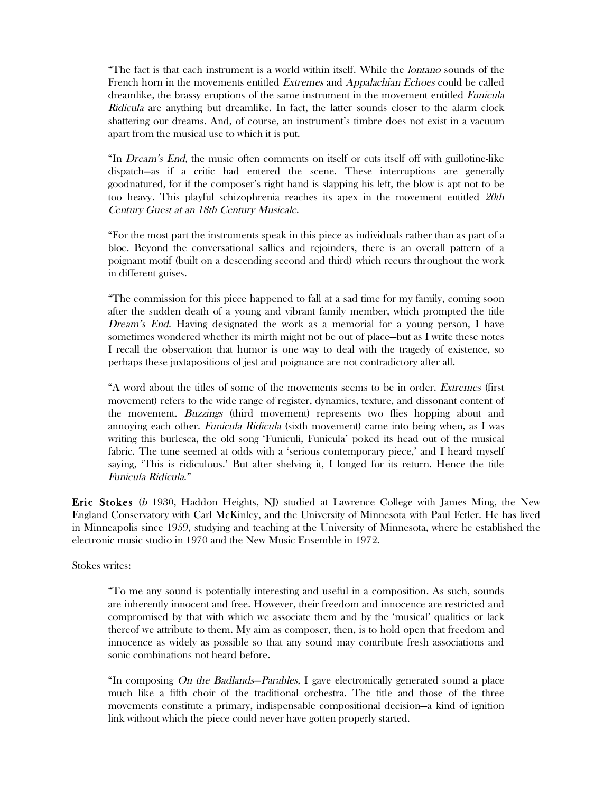"The fact is that each instrument is a world within itself. While the lontano sounds of the French horn in the movements entitled Extremes and Appalachian Echoes could be called dreamlike, the brassy eruptions of the same instrument in the movement entitled Funicula Ridicula are anything but dreamlike. In fact, the latter sounds closer to the alarm clock shattering our dreams. And, of course, an instrument's timbre does not exist in a vacuum apart from the musical use to which it is put.

"In Dream's End, the music often comments on itself or cuts itself off with guillotine-like dispatch—as if a critic had entered the scene. These interruptions are generally goodnatured, for if the composer's right hand is slapping his left, the blow is apt not to be too heavy. This playful schizophrenia reaches its apex in the movement entitled 20th Century Guest at an 18th Century Musicale.

"For the most part the instruments speak in this piece as individuals rather than as part of a bloc. Beyond the conversational sallies and rejoinders, there is an overall pattern of a poignant motif (built on a descending second and third) which recurs throughout the work in different guises.

"The commission for this piece happened to fall at a sad time for my family, coming soon after the sudden death of a young and vibrant family member, which prompted the title Dream's End. Having designated the work as a memorial for a young person, I have sometimes wondered whether its mirth might not be out of place—but as I write these notes I recall the observation that humor is one way to deal with the tragedy of existence, so perhaps these juxtapositions of jest and poignance are not contradictory after all.

"A word about the titles of some of the movements seems to be in order. Extremes (first movement) refers to the wide range of register, dynamics, texture, and dissonant content of the movement. Buzzings (third movement) represents two flies hopping about and annoying each other. Funicula Ridicula (sixth movement) came into being when, as I was writing this burlesca, the old song 'Funiculi, Funicula' poked its head out of the musical fabric. The tune seemed at odds with a 'serious contemporary piece,' and I heard myself saying, 'This is ridiculous.' But after shelving it, I longed for its return. Hence the title Funicula Ridicula."

Eric Stokes (b 1930, Haddon Heights, NJ) studied at Lawrence College with James Ming, the New England Conservatory with Carl McKinley, and the University of Minnesota with Paul Fetler. He has lived in Minneapolis since 1959, studying and teaching at the University of Minnesota, where he established the electronic music studio in 1970 and the New Music Ensemble in 1972.

Stokes writes:

"To me any sound is potentially interesting and useful in a composition. As such, sounds are inherently innocent and free. However, their freedom and innocence are restricted and compromised by that with which we associate them and by the 'musical' qualities or lack thereof we attribute to them. My aim as composer, then, is to hold open that freedom and innocence as widely as possible so that any sound may contribute fresh associations and sonic combinations not heard before.

"In composing On the Badlands—Parables, I gave electronically generated sound a place much like a fifth choir of the traditional orchestra. The title and those of the three movements constitute a primary, indispensable compositional decision—a kind of ignition link without which the piece could never have gotten properly started.